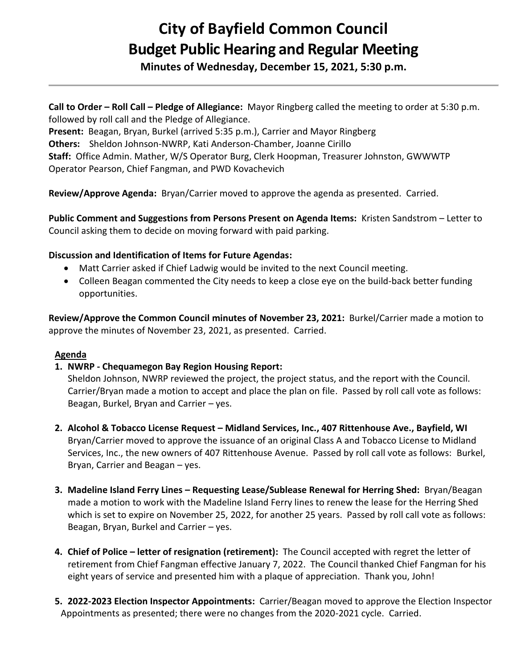# **City of Bayfield Common Council Budget Public Hearing and Regular Meeting**

**Minutes of Wednesday, December 15, 2021, 5:30 p.m.** 

**Call to Order – Roll Call – Pledge of Allegiance:** Mayor Ringberg called the meeting to order at 5:30 p.m. followed by roll call and the Pledge of Allegiance.

**Present:** Beagan, Bryan, Burkel (arrived 5:35 p.m.), Carrier and Mayor Ringberg **Others:** Sheldon Johnson-NWRP, Kati Anderson-Chamber, Joanne Cirillo **Staff:** Office Admin. Mather, W/S Operator Burg, Clerk Hoopman, Treasurer Johnston, GWWWTP Operator Pearson, Chief Fangman, and PWD Kovachevich

**Review/Approve Agenda:** Bryan/Carrier moved to approve the agenda as presented. Carried.

**Public Comment and Suggestions from Persons Present on Agenda Items:** Kristen Sandstrom – Letter to Council asking them to decide on moving forward with paid parking.

## **Discussion and Identification of Items for Future Agendas:**

- Matt Carrier asked if Chief Ladwig would be invited to the next Council meeting.
- Colleen Beagan commented the City needs to keep a close eye on the build-back better funding opportunities.

**Review/Approve the Common Council minutes of November 23, 2021:** Burkel/Carrier made a motion to approve the minutes of November 23, 2021, as presented. Carried.

## **Agenda**

# **1. NWRP - Chequamegon Bay Region Housing Report:**

 Sheldon Johnson, NWRP reviewed the project, the project status, and the report with the Council. Carrier/Bryan made a motion to accept and place the plan on file. Passed by roll call vote as follows: Beagan, Burkel, Bryan and Carrier – yes.

- **2. Alcohol & Tobacco License Request – Midland Services, Inc., 407 Rittenhouse Ave., Bayfield, WI** Bryan/Carrier moved to approve the issuance of an original Class A and Tobacco License to Midland Services, Inc., the new owners of 407 Rittenhouse Avenue. Passed by roll call vote as follows: Burkel, Bryan, Carrier and Beagan – yes.
- **3. Madeline Island Ferry Lines – Requesting Lease/Sublease Renewal for Herring Shed:** Bryan/Beagan made a motion to work with the Madeline Island Ferry lines to renew the lease for the Herring Shed which is set to expire on November 25, 2022, for another 25 years. Passed by roll call vote as follows: Beagan, Bryan, Burkel and Carrier – yes.
- **4. Chief of Police – letter of resignation (retirement):** The Council accepted with regret the letter of retirement from Chief Fangman effective January 7, 2022. The Council thanked Chief Fangman for his eight years of service and presented him with a plaque of appreciation. Thank you, John!
- **5. 2022-2023 Election Inspector Appointments:** Carrier/Beagan moved to approve the Election Inspector Appointments as presented; there were no changes from the 2020-2021 cycle. Carried.